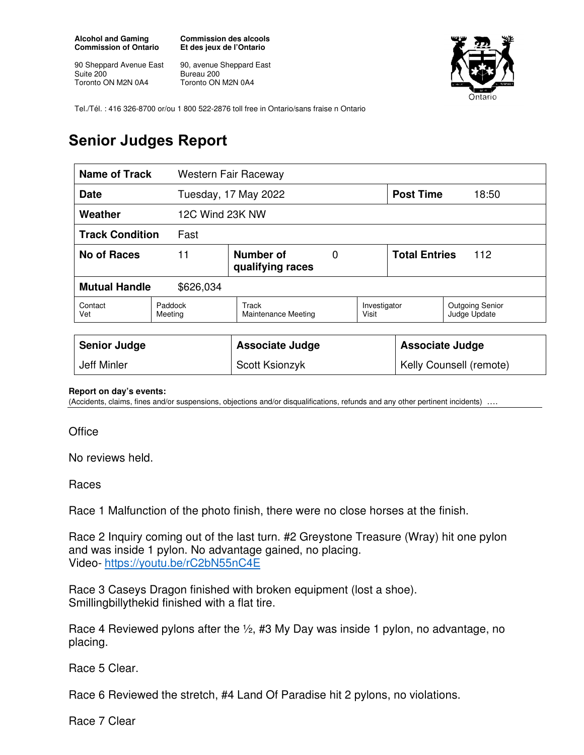**Alcohol and Gaming Commission of Ontario** 

90 Sheppard Avenue East Suite 200 Toronto ON M2N 0A4

**Commission des alcools Et des jeux de l'Ontario** 

90, avenue Sheppard East Bureau 200 Toronto ON M2N 0A4



Tel./Tél. : 416 326-8700 or/ou 1 800 522-2876 toll free in Ontario/sans fraise n Ontario

## **Senior Judges Report**

| <b>Name of Track</b>              |                    | Western Fair Raceway          |   |                         |                                |                                        |
|-----------------------------------|--------------------|-------------------------------|---|-------------------------|--------------------------------|----------------------------------------|
| <b>Date</b>                       |                    | Tuesday, 17 May 2022          |   |                         | <b>Post Time</b>               | 18:50                                  |
| Weather                           |                    | 12C Wind 23K NW               |   |                         |                                |                                        |
| <b>Track Condition</b><br>Fast    |                    |                               |   |                         |                                |                                        |
| No of Races<br>11                 |                    | Number of<br>qualifying races | 0 |                         | <b>Total Entries</b><br>$-112$ |                                        |
| <b>Mutual Handle</b><br>\$626,034 |                    |                               |   |                         |                                |                                        |
| Contact<br>Vet                    | Paddock<br>Meeting | Track<br>Maintenance Meeting  |   | Investigator<br>Visit   |                                | <b>Outgoing Senior</b><br>Judge Update |
|                                   |                    |                               |   |                         |                                |                                        |
| <b>Senior Judge</b>               |                    | <b>Associate Judge</b>        |   |                         | <b>Associate Judge</b>         |                                        |
| Jeff Minler                       |                    | Scott Ksionzyk                |   | Kelly Counsell (remote) |                                |                                        |

## **Report on day's events:**

(Accidents, claims, fines and/or suspensions, objections and/or disqualifications, refunds and any other pertinent incidents) ….

**Office** 

No reviews held.

Races

Race 1 Malfunction of the photo finish, there were no close horses at the finish.

Race 2 Inquiry coming out of the last turn. #2 Greystone Treasure (Wray) hit one pylon and was inside 1 pylon. No advantage gained, no placing. Video- https://youtu.be/rC2bN55nC4E

Race 3 Caseys Dragon finished with broken equipment (lost a shoe). Smillingbillythekid finished with a flat tire.

Race 4 Reviewed pylons after the ½, #3 My Day was inside 1 pylon, no advantage, no placing.

Race 5 Clear.

Race 6 Reviewed the stretch, #4 Land Of Paradise hit 2 pylons, no violations.

Race 7 Clear